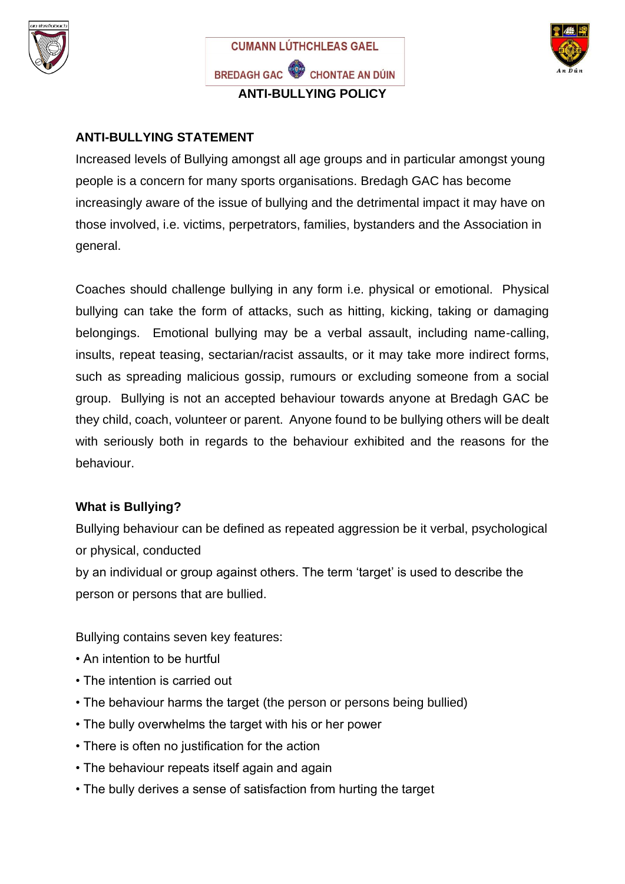





# **ANTI-BULLYING STATEMENT**

Increased levels of Bullying amongst all age groups and in particular amongst young people is a concern for many sports organisations. Bredagh GAC has become increasingly aware of the issue of bullying and the detrimental impact it may have on those involved, i.e. victims, perpetrators, families, bystanders and the Association in general.

Coaches should challenge bullying in any form i.e. physical or emotional. Physical bullying can take the form of attacks, such as hitting, kicking, taking or damaging belongings. Emotional bullying may be a verbal assault, including name-calling, insults, repeat teasing, sectarian/racist assaults, or it may take more indirect forms, such as spreading malicious gossip, rumours or excluding someone from a social group. Bullying is not an accepted behaviour towards anyone at Bredagh GAC be they child, coach, volunteer or parent. Anyone found to be bullying others will be dealt with seriously both in regards to the behaviour exhibited and the reasons for the behaviour.

# **What is Bullying?**

Bullying behaviour can be defined as repeated aggression be it verbal, psychological or physical, conducted

by an individual or group against others. The term 'target' is used to describe the person or persons that are bullied.

Bullying contains seven key features:

- An intention to be hurtful
- The intention is carried out
- The behaviour harms the target (the person or persons being bullied)
- The bully overwhelms the target with his or her power
- There is often no justification for the action
- The behaviour repeats itself again and again
- The bully derives a sense of satisfaction from hurting the target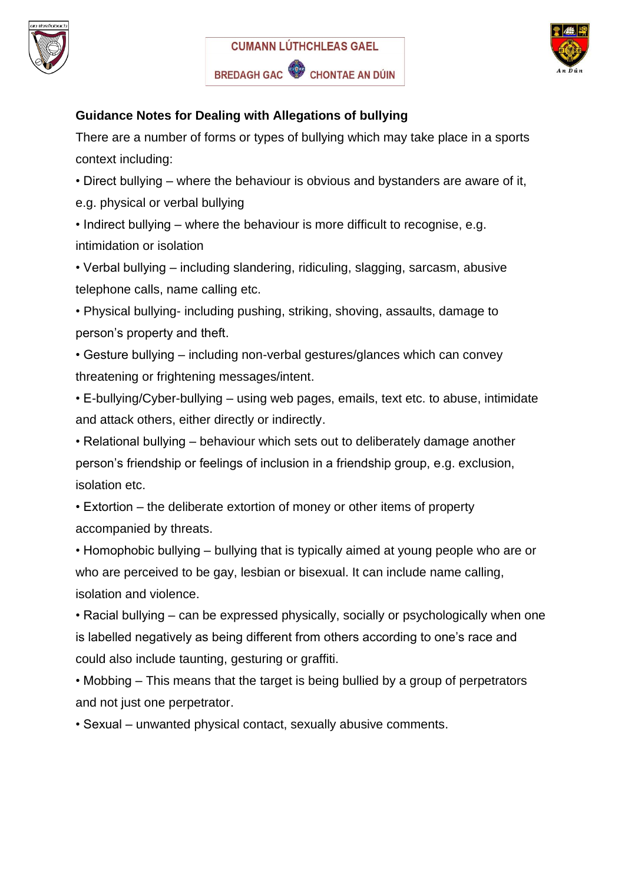





### **Guidance Notes for Dealing with Allegations of bullying**

There are a number of forms or types of bullying which may take place in a sports context including:

• Direct bullying – where the behaviour is obvious and bystanders are aware of it,

e.g. physical or verbal bullying

• Indirect bullying – where the behaviour is more difficult to recognise, e.g. intimidation or isolation

• Verbal bullying – including slandering, ridiculing, slagging, sarcasm, abusive telephone calls, name calling etc.

• Physical bullying- including pushing, striking, shoving, assaults, damage to person's property and theft.

• Gesture bullying – including non-verbal gestures/glances which can convey threatening or frightening messages/intent.

• E-bullying/Cyber-bullying – using web pages, emails, text etc. to abuse, intimidate and attack others, either directly or indirectly.

• Relational bullying – behaviour which sets out to deliberately damage another person's friendship or feelings of inclusion in a friendship group, e.g. exclusion, isolation etc.

• Extortion – the deliberate extortion of money or other items of property accompanied by threats.

• Homophobic bullying – bullying that is typically aimed at young people who are or who are perceived to be gay, lesbian or bisexual. It can include name calling, isolation and violence.

• Racial bullying – can be expressed physically, socially or psychologically when one is labelled negatively as being different from others according to one's race and could also include taunting, gesturing or graffiti.

• Mobbing – This means that the target is being bullied by a group of perpetrators and not just one perpetrator.

• Sexual – unwanted physical contact, sexually abusive comments.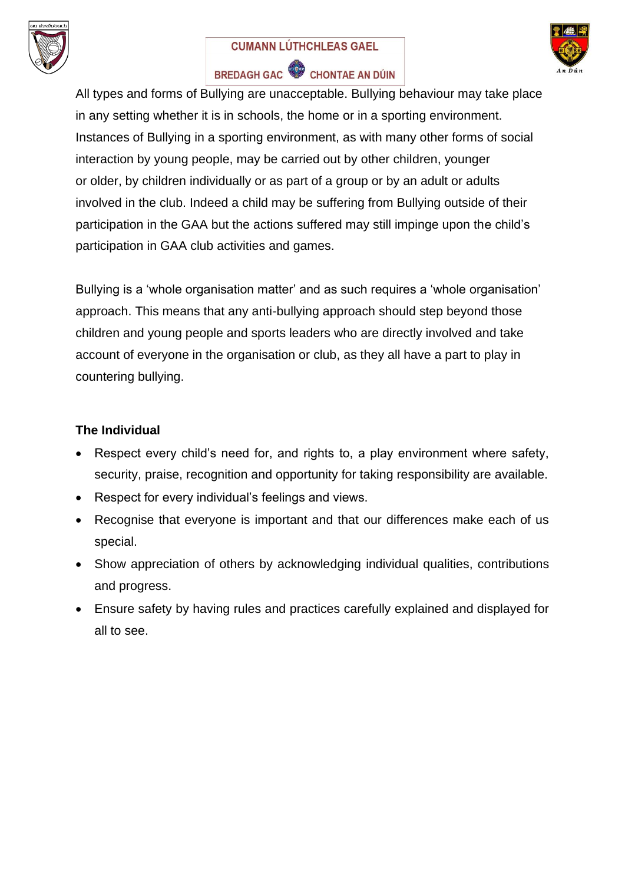

#### **CUMANN LÚTHCHLEAS GAEL**



# BREDAGH GAC CHONTAE AN DÚIN

All types and forms of Bullying are unacceptable. Bullying behaviour may take place in any setting whether it is in schools, the home or in a sporting environment. Instances of Bullying in a sporting environment, as with many other forms of social interaction by young people, may be carried out by other children, younger or older, by children individually or as part of a group or by an adult or adults involved in the club. Indeed a child may be suffering from Bullying outside of their participation in the GAA but the actions suffered may still impinge upon the child's participation in GAA club activities and games.

Bullying is a 'whole organisation matter' and as such requires a 'whole organisation' approach. This means that any anti-bullying approach should step beyond those children and young people and sports leaders who are directly involved and take account of everyone in the organisation or club, as they all have a part to play in countering bullying.

#### **The Individual**

- Respect every child's need for, and rights to, a play environment where safety, security, praise, recognition and opportunity for taking responsibility are available.
- Respect for every individual's feelings and views.
- Recognise that everyone is important and that our differences make each of us special.
- Show appreciation of others by acknowledging individual qualities, contributions and progress.
- Ensure safety by having rules and practices carefully explained and displayed for all to see.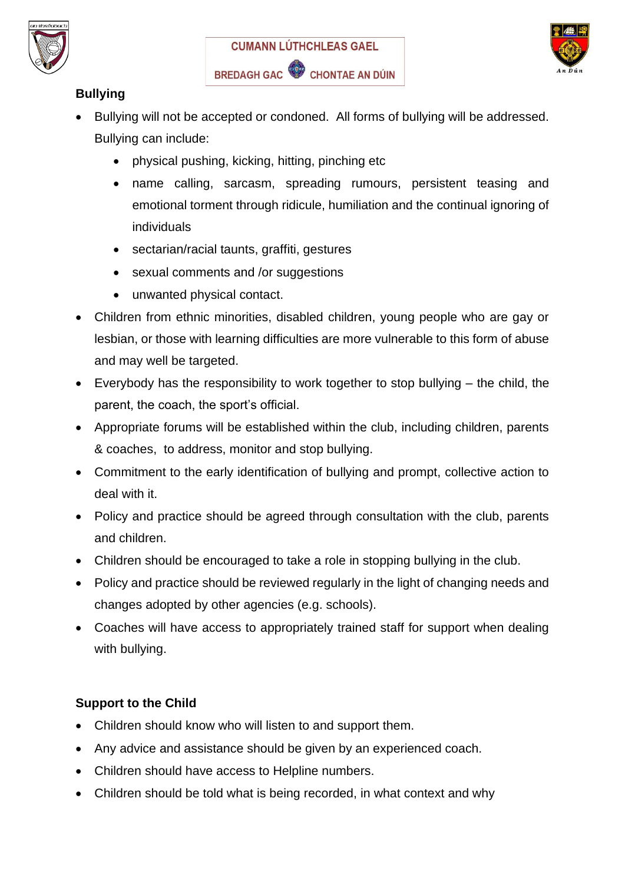





# **Bullying**

- Bullying will not be accepted or condoned. All forms of bullying will be addressed. Bullying can include:
	- physical pushing, kicking, hitting, pinching etc
	- name calling, sarcasm, spreading rumours, persistent teasing and emotional torment through ridicule, humiliation and the continual ignoring of individuals
	- sectarian/racial taunts, graffiti, gestures
	- sexual comments and /or suggestions
	- unwanted physical contact.
- Children from ethnic minorities, disabled children, young people who are gay or lesbian, or those with learning difficulties are more vulnerable to this form of abuse and may well be targeted.
- Everybody has the responsibility to work together to stop bullying the child, the parent, the coach, the sport's official.
- Appropriate forums will be established within the club, including children, parents & coaches, to address, monitor and stop bullying.
- Commitment to the early identification of bullying and prompt, collective action to deal with it.
- Policy and practice should be agreed through consultation with the club, parents and children.
- Children should be encouraged to take a role in stopping bullying in the club.
- Policy and practice should be reviewed regularly in the light of changing needs and changes adopted by other agencies (e.g. schools).
- Coaches will have access to appropriately trained staff for support when dealing with bullying.

# **Support to the Child**

- Children should know who will listen to and support them.
- Any advice and assistance should be given by an experienced coach.
- Children should have access to Helpline numbers.
- Children should be told what is being recorded, in what context and why